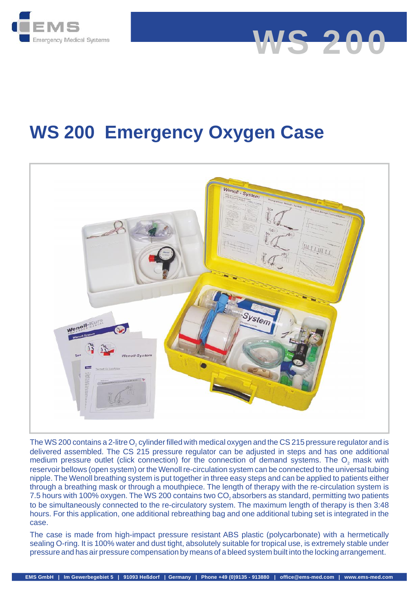

# **WS 200 Emergency Oxygen Case**

**WS 200**



The WS 200 contains a 2-litre  $O_2$  cylinder filled with medical oxygen and the CS 215 pressure regulator and is<br>delivered assembled. The CS 215 pressure regulator can be adjusted in steps and has one additional<br>medium pr reservoir bellows (open system) or the Wenoll re-circulation system can be connected to the universal tubing nipple. The Wenoll breathing system is put together in three easy steps and can be applied to patients either through a breathing mask or through a mouthpiece. The length of therapy with the re-circulation system is delivered assembled. The CS 215 pressure regulator can be adjusted in steps and has one additional<br>medium pressure outlet (click connection) for the connection of demand systems. The O<sub>2</sub> mask with<br>reservoir bellows (open to be simultaneously connected to the re-circulatory system. The maximum length of therapy is then 3:48 hours. For this application, one additional rebreathing bag and one additional tubing set is integrated in the case. The WS 200 contains a 2-litre O<sub>2</sub> cylinder filled with medical oxygen and the CS 215 pressure regulator and is  $2$   $\cdots$ 7.5 hours with 100% oxygen. The WS 200 contains two CO<sub>2</sub> absorbers as standard, permitting two patients

The case is made from high-impact pressure resistant ABS plastic (polycarbonate) with a hermetically sealing O-ring. It is 100% water and dust tight, absolutely suitable for tropical use, is extremely stable under pressure and has air pressure compensation by means of a bleed system built into the locking arrangement.<br>EMS GmbH | Im Gewerbegebiet 5 | 91093 Heßdorf | Germany | Phone +49 (0)9135 - 913880 | office@ems-med.com | www.ems-